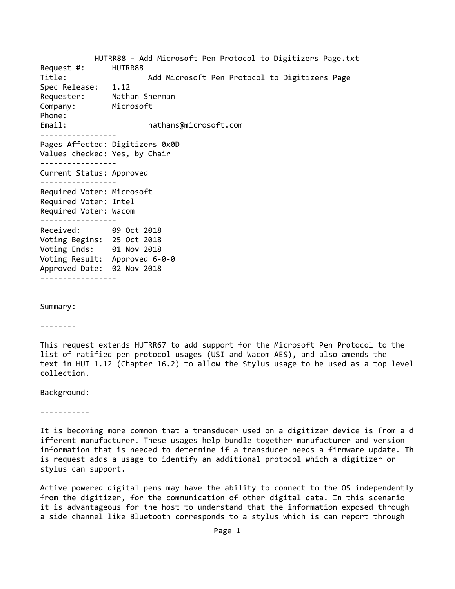HUTRR88 ‐ Add Microsoft Pen Protocol to Digitizers Page.txt Request #: HUTRR88 Title: Add Microsoft Pen Protocol to Digitizers Page Spec Release: 1.12 Requester: Nathan Sherman Company: Microsoft Phone: Email:  $and$  nathans@microsoft.com ‐‐‐‐‐‐‐‐‐‐‐‐‐‐‐‐‐ Pages Affected: Digitizers 0x0D Values checked: Yes, by Chair ‐‐‐‐‐‐‐‐‐‐‐‐‐‐‐‐‐ Current Status: Approved ‐‐‐‐‐‐‐‐‐‐‐‐‐‐‐‐‐ Required Voter: Microsoft Required Voter: Intel Required Voter: Wacom ‐‐‐‐‐‐‐‐‐‐‐‐‐‐‐‐‐ Received: 09 Oct 2018 Voting Begins: 25 Oct 2018 Voting Ends: 01 Nov 2018 Voting Result: Approved 6‐0‐0 Approved Date: 02 Nov 2018 ‐‐‐‐‐‐‐‐‐‐‐‐‐‐‐‐‐

Summary:

‐‐‐‐‐‐‐‐

This request extends HUTRR67 to add support for the Microsoft Pen Protocol to the list of ratified pen protocol usages (USI and Wacom AES), and also amends the text in HUT 1.12 (Chapter 16.2) to allow the Stylus usage to be used as a top level collection.

Background:

‐‐‐‐‐‐‐‐‐‐‐

It is becoming more common that a transducer used on a digitizer device is from a d ifferent manufacturer. These usages help bundle together manufacturer and version information that is needed to determine if a transducer needs a firmware update. Th is request adds a usage to identify an additional protocol which a digitizer or stylus can support.

Active powered digital pens may have the ability to connect to the OS independently from the digitizer, for the communication of other digital data. In this scenario it is advantageous for the host to understand that the information exposed through a side channel like Bluetooth corresponds to a stylus which is can report through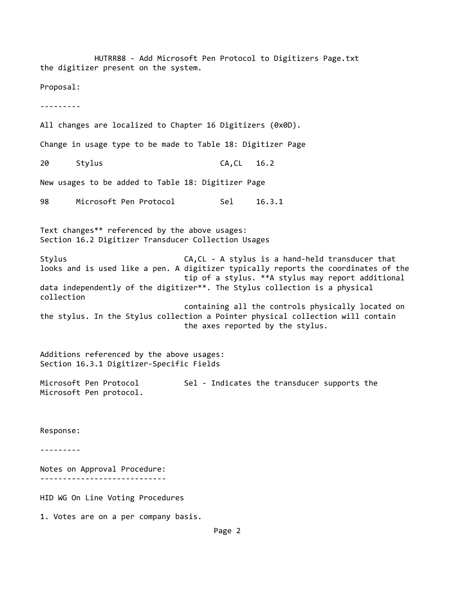HUTRR88 ‐ Add Microsoft Pen Protocol to Digitizers Page.txt the digitizer present on the system. Proposal: ‐‐‐‐‐‐‐‐‐ All changes are localized to Chapter 16 Digitizers (0x0D). Change in usage type to be made to Table 18: Digitizer Page 20 Stylus CA,CL 16.2 New usages to be added to Table 18: Digitizer Page 98 Microsoft Pen Protocol Sel 16.3.1 Text changes\*\* referenced by the above usages: Section 16.2 Digitizer Transducer Collection Usages Stylus CA,CL - A stylus is a hand-held transducer that looks and is used like a pen. A digitizer typically reports the coordinates of the tip of a stylus. \*\*A stylus may report additional data independently of the digitizer\*\*. The Stylus collection is a physical collection containing all the controls physically located on the stylus. In the Stylus collection a Pointer physical collection will contain the axes reported by the stylus. Additions referenced by the above usages: Section 16.3.1 Digitizer‐Specific Fields Microsoft Pen Protocol Sel - Indicates the transducer supports the Microsoft Pen protocol. Response: ‐‐‐‐‐‐‐‐‐ Notes on Approval Procedure: ‐‐‐‐‐‐‐‐‐‐‐‐‐‐‐‐‐‐‐‐‐‐‐‐‐‐‐‐ HID WG On Line Voting Procedures 1. Votes are on a per company basis. Page 2